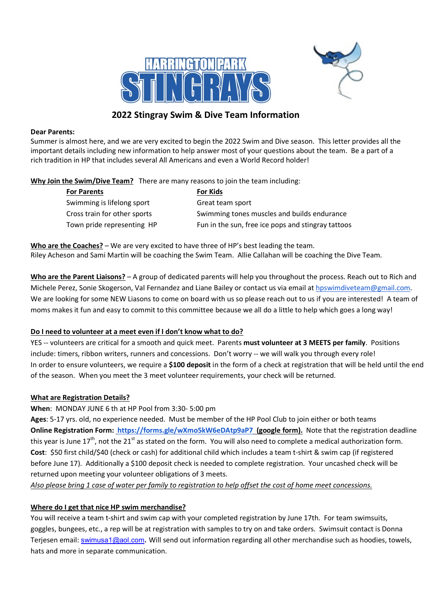



## 2022 Stingray Swim & Dive Team Information

#### Dear Parents:

Summer is almost here, and we are very excited to begin the 2022 Swim and Dive season. This letter provides all the important details including new information to help answer most of your questions about the team. Be a part of a rich tradition in HP that includes several All Americans and even a World Record holder!

Why Join the Swim/Dive Team? There are many reasons to join the team including:

| <b>For Parents</b>           |
|------------------------------|
| Swimming is lifelong sport   |
| Cross train for other sports |
| Town pride representing HP   |

For Kids Great team sport Swimming tones muscles and builds endurance Fun in the sun, free ice pops and stingray tattoos

Who are the Coaches? – We are very excited to have three of HP's best leading the team. Riley Acheson and Sami Martin will be coaching the Swim Team. Allie Callahan will be coaching the Dive Team.

Who are the Parent Liaisons? – A group of dedicated parents will help you throughout the process. Reach out to Rich and Michele Perez, Sonie Skogerson, Val Fernandez and Liane Bailey or contact us via email at hpswimdiveteam@gmail.com. We are looking for some NEW Liasons to come on board with us so please reach out to us if you are interested! A team of moms makes it fun and easy to commit to this committee because we all do a little to help which goes a long way!

## Do I need to volunteer at a meet even if I don't know what to do?

YES -- volunteers are critical for a smooth and quick meet. Parents must volunteer at 3 MEETS per family. Positions include: timers, ribbon writers, runners and concessions. Don't worry -- we will walk you through every role! In order to ensure volunteers, we require a \$100 deposit in the form of a check at registration that will be held until the end of the season. When you meet the 3 meet volunteer requirements, your check will be returned.

## What are Registration Details?

When: MONDAY JUNE 6 th at HP Pool from 3:30- 5:00 pm

Ages: 5-17 yrs. old, no experience needed. Must be member of the HP Pool Club to join either or both teams Online Registration Form: https://forms.gle/wXmo5kW6eDAtp9aP7 (google form). Note that the registration deadline this year is June  $17<sup>th</sup>$ , not the  $21<sup>st</sup>$  as stated on the form. You will also need to complete a medical authorization form. Cost: \$50 first child/\$40 (check or cash) for additional child which includes a team t-shirt & swim cap (if registered before June 17). Additionally a \$100 deposit check is needed to complete registration. Your uncashed check will be returned upon meeting your volunteer obligations of 3 meets.

Also please bring 1 case of water per family to registration to help offset the cost of home meet concessions.

## Where do I get that nice HP swim merchandise?

You will receive a team t-shirt and swim cap with your completed registration by June 17th. For team swimsuits, goggles, bungees, etc., a rep will be at registration with samples to try on and take orders. Swimsuit contact is Donna Terjesen email: swimusa1@aol.com. Will send out information regarding all other merchandise such as hoodies, towels, hats and more in separate communication.